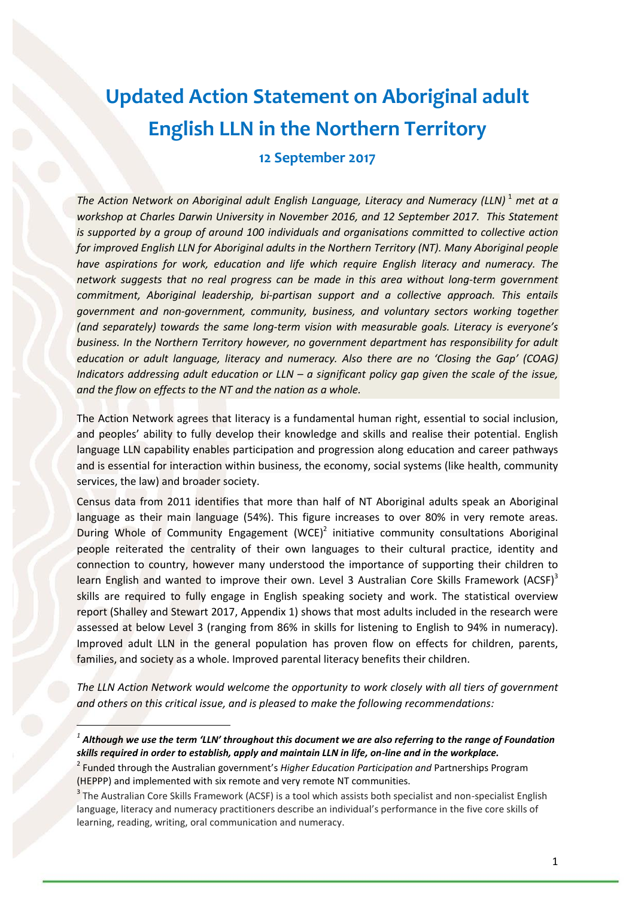# **Updated Action Statement on Aboriginal adult English LLN in the Northern Territory**

**12 September 2017**

*The Action Network on Aboriginal adult English Language, Literacy and Numeracy (LLN)*<sup>1</sup> *met at a workshop at Charles Darwin University in November 2016, and 12 September 2017. This Statement is supported by a group of around 100 individuals and organisations committed to collective action for improved English LLN for Aboriginal adults in the Northern Territory (NT). Many Aboriginal people have aspirations for work, education and life which require English literacy and numeracy. The network suggests that no real progress can be made in this area without long-term government commitment, Aboriginal leadership, bi-partisan support and a collective approach. This entails government and non-government, community, business, and voluntary sectors working together (and separately) towards the same long-term vision with measurable goals. Literacy is everyone's business. In the Northern Territory however, no government department has responsibility for adult education or adult language, literacy and numeracy. Also there are no 'Closing the Gap' (COAG) Indicators addressing adult education or LLN – a significant policy gap given the scale of the issue, and the flow on effects to the NT and the nation as a whole.*

The Action Network agrees that literacy is a fundamental human right, essential to social inclusion, and peoples' ability to fully develop their knowledge and skills and realise their potential. English language LLN capability enables participation and progression along education and career pathways and is essential for interaction within business, the economy, social systems (like health, community services, the law) and broader society.

Census data from 2011 identifies that more than half of NT Aboriginal adults speak an Aboriginal language as their main language (54%). This figure increases to over 80% in very remote areas. During Whole of Community Engagement (WCE)<sup>2</sup> initiative community consultations Aboriginal people reiterated the centrality of their own languages to their cultural practice, identity and connection to country, however many understood the importance of supporting their children to learn English and wanted to improve their own. Level 3 Australian Core Skills Framework (ACSF)<sup>3</sup> skills are required to fully engage in English speaking society and work. The statistical overview report (Shalley and Stewart 2017, Appendix 1) shows that most adults included in the research were assessed at below Level 3 (ranging from 86% in skills for listening to English to 94% in numeracy). Improved adult LLN in the general population has proven flow on effects for children, parents, families, and society as a whole. Improved parental literacy benefits their children.

*The LLN Action Network would welcome the opportunity to work closely with all tiers of government and others on this critical issue, and is pleased to make the following recommendations:*

*1 Although we use the term 'LLN' throughout this document we are also referring to the range of Foundation skills required in order to establish, apply and maintain LLN in life, on-line and in the workplace.* 

 $\overline{\phantom{a}}$ 

<sup>2</sup> Funded through the Australian government's *Higher Education Participation and* Partnerships Program (HEPPP) and implemented with six remote and very remote NT communities.

<sup>&</sup>lt;sup>3</sup> The Australian Core Skills Framework (ACSF) is a tool which assists both specialist and non-specialist English language, literacy and numeracy practitioners describe an individual's performance in the five core skills of learning, reading, writing, oral communication and numeracy.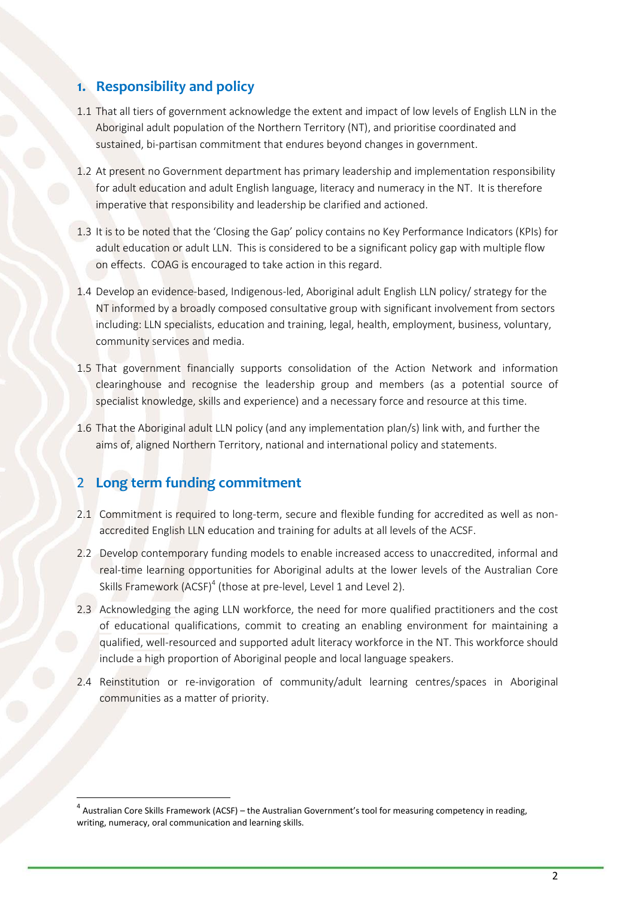### **1. Responsibility and policy**

- 1.1 That all tiers of government acknowledge the extent and impact of low levels of English LLN in the Aboriginal adult population of the Northern Territory (NT), and prioritise coordinated and sustained, bi-partisan commitment that endures beyond changes in government.
- 1.2 At present no Government department has primary leadership and implementation responsibility for adult education and adult English language, literacy and numeracy in the NT. It is therefore imperative that responsibility and leadership be clarified and actioned.
- 1.3 It is to be noted that the 'Closing the Gap' policy contains no Key Performance Indicators (KPIs) for adult education or adult LLN. This is considered to be a significant policy gap with multiple flow on effects. COAG is encouraged to take action in this regard.
- 1.4 Develop an evidence-based, Indigenous-led, Aboriginal adult English LLN policy/ strategy for the NT informed by a broadly composed consultative group with significant involvement from sectors including: LLN specialists, education and training, legal, health, employment, business, voluntary, community services and media.
- 1.5 That government financially supports consolidation of the Action Network and information clearinghouse and recognise the leadership group and members (as a potential source of specialist knowledge, skills and experience) and a necessary force and resource at this time.
- 1.6 That the Aboriginal adult LLN policy (and any implementation plan/s) link with, and further the aims of, aligned Northern Territory, national and international policy and statements.

# 2 **Long term funding commitment**

 $\overline{a}$ 

- 2.1 Commitment is required to long-term, secure and flexible funding for accredited as well as nonaccredited English LLN education and training for adults at all levels of the ACSF.
- 2.2 Develop contemporary funding models to enable increased access to unaccredited, informal and real-time learning opportunities for Aboriginal adults at the lower levels of the Australian Core Skills Framework (ACSF)<sup>4</sup> (those at pre-level, Level 1 and Level 2).
- 2.3 Acknowledging the aging LLN workforce, the need for more qualified practitioners and the cost of educational qualifications, commit to creating an enabling environment for maintaining a qualified, well-resourced and supported adult literacy workforce in the NT. This workforce should include a high proportion of Aboriginal people and local language speakers.
- 2.4 Reinstitution or re-invigoration of community/adult learning centres/spaces in Aboriginal communities as a matter of priority.

<sup>&</sup>lt;sup>4</sup> Australian Core Skills Framework (ACSF) – the Australian Government's tool for measuring competency in reading, writing, numeracy, oral communication and learning skills.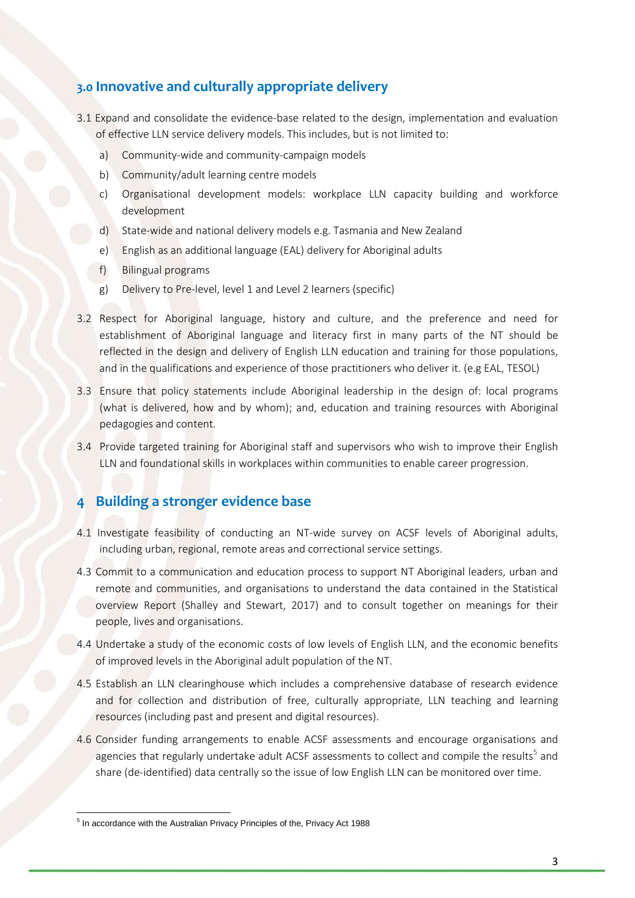## **3.0 Innovative and culturally appropriate delivery**

- 3.1 Expand and consolidate the evidence-base related to the design, implementation and evaluation of effective LLN service delivery models. This includes, but is not limited to:
	- a) Community-wide and community-campaign models
	- b) Community/adult learning centre models
	- c) Organisational development models: workplace LLN capacity building and workforce development
	- d) State-wide and national delivery models e.g. Tasmania and New Zealand
	- e) English as an additional language (EAL) delivery for Aboriginal adults
	- f) Bilingual programs
	- g) Delivery to Pre-level, level 1 and Level 2 learners (specific)
- 3.2 Respect for Aboriginal language, history and culture, and the preference and need for establishment of Aboriginal language and literacy first in many parts of the NT should be reflected in the design and delivery of English LLN education and training for those populations, and in the qualifications and experience of those practitioners who deliver it. (e.g EAL, TESOL)
- 3.3 Ensure that policy statements include Aboriginal leadership in the design of: local programs (what is delivered, how and by whom); and, education and training resources with Aboriginal pedagogies and content.
- 3.4 Provide targeted training for Aboriginal staff and supervisors who wish to improve their English LLN and foundational skills in workplaces within communities to enable career progression.

#### **4 Building a stronger evidence base**

- 4.1 Investigate feasibility of conducting an NT-wide survey on ACSF levels of Aboriginal adults, including urban, regional, remote areas and correctional service settings.
- 4.3 Commit to a communication and education process to support NT Aboriginal leaders, urban and remote and communities, and organisations to understand the data contained in the Statistical overview Report (Shalley and Stewart, 2017) and to consult together on meanings for their people, lives and organisations.
- 4.4 Undertake a study of the economic costs of low levels of English LLN, and the economic benefits of improved levels in the Aboriginal adult population of the NT.
- 4.5 Establish an LLN clearinghouse which includes a comprehensive database of research evidence and for collection and distribution of free, culturally appropriate, LLN teaching and learning resources (including past and present and digital resources).
- 4.6 Consider funding arrangements to enable ACSF assessments and encourage organisations and agencies that regularly undertake adult ACSF assessments to collect and compile the results<sup>5</sup> and share (de-identified) data centrally so the issue of low English LLN can be monitored over time.

**<sup>.</sup>** <sup>5</sup> In accordance with the Australian Privacy Principles of the, Privacy Act 1988